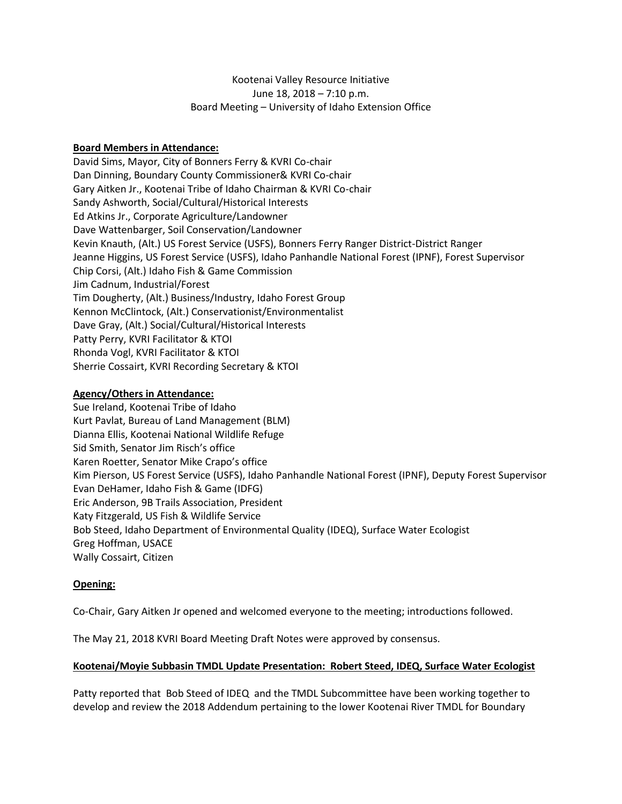### Kootenai Valley Resource Initiative June 18, 2018 – 7:10 p.m. Board Meeting – University of Idaho Extension Office

### **Board Members in Attendance:**

David Sims, Mayor, City of Bonners Ferry & KVRI Co-chair Dan Dinning, Boundary County Commissioner& KVRI Co-chair Gary Aitken Jr., Kootenai Tribe of Idaho Chairman & KVRI Co-chair Sandy Ashworth, Social/Cultural/Historical Interests Ed Atkins Jr., Corporate Agriculture/Landowner Dave Wattenbarger, Soil Conservation/Landowner Kevin Knauth, (Alt.) US Forest Service (USFS), Bonners Ferry Ranger District-District Ranger Jeanne Higgins, US Forest Service (USFS), Idaho Panhandle National Forest (IPNF), Forest Supervisor Chip Corsi, (Alt.) Idaho Fish & Game Commission Jim Cadnum, Industrial/Forest Tim Dougherty, (Alt.) Business/Industry, Idaho Forest Group Kennon McClintock, (Alt.) Conservationist/Environmentalist Dave Gray, (Alt.) Social/Cultural/Historical Interests Patty Perry, KVRI Facilitator & KTOI Rhonda Vogl, KVRI Facilitator & KTOI Sherrie Cossairt, KVRI Recording Secretary & KTOI

### **Agency/Others in Attendance:**

Sue Ireland, Kootenai Tribe of Idaho Kurt Pavlat, Bureau of Land Management (BLM) Dianna Ellis, Kootenai National Wildlife Refuge Sid Smith, Senator Jim Risch's office Karen Roetter, Senator Mike Crapo's office Kim Pierson, US Forest Service (USFS), Idaho Panhandle National Forest (IPNF), Deputy Forest Supervisor Evan DeHamer, Idaho Fish & Game (IDFG) Eric Anderson, 9B Trails Association, President Katy Fitzgerald, US Fish & Wildlife Service Bob Steed, Idaho Department of Environmental Quality (IDEQ), Surface Water Ecologist Greg Hoffman, USACE Wally Cossairt, Citizen

## **Opening:**

Co-Chair, Gary Aitken Jr opened and welcomed everyone to the meeting; introductions followed.

The May 21, 2018 KVRI Board Meeting Draft Notes were approved by consensus.

### **Kootenai/Moyie Subbasin TMDL Update Presentation: Robert Steed, IDEQ, Surface Water Ecologist**

Patty reported that Bob Steed of IDEQ and the TMDL Subcommittee have been working together to develop and review the 2018 Addendum pertaining to the lower Kootenai River TMDL for Boundary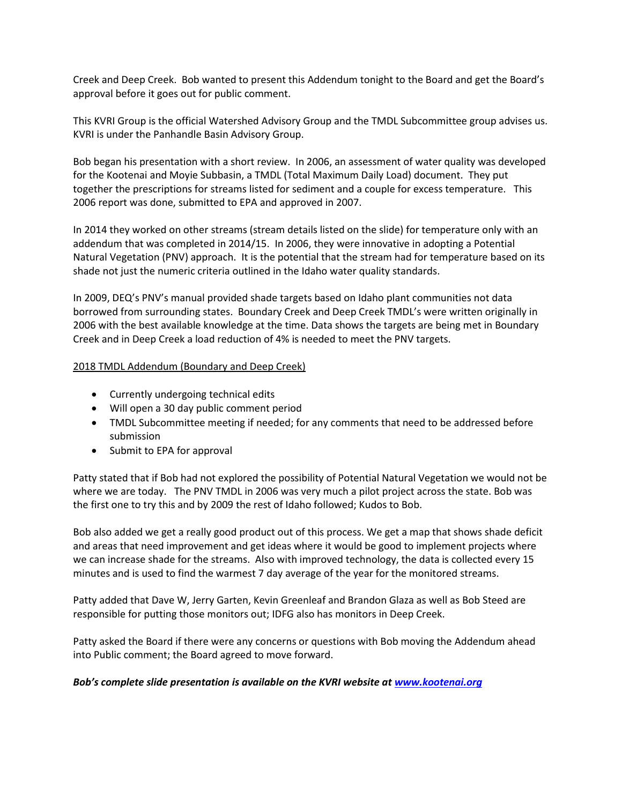Creek and Deep Creek. Bob wanted to present this Addendum tonight to the Board and get the Board's approval before it goes out for public comment.

This KVRI Group is the official Watershed Advisory Group and the TMDL Subcommittee group advises us. KVRI is under the Panhandle Basin Advisory Group.

Bob began his presentation with a short review. In 2006, an assessment of water quality was developed for the Kootenai and Moyie Subbasin, a TMDL (Total Maximum Daily Load) document. They put together the prescriptions for streams listed for sediment and a couple for excess temperature. This 2006 report was done, submitted to EPA and approved in 2007.

In 2014 they worked on other streams (stream details listed on the slide) for temperature only with an addendum that was completed in 2014/15. In 2006, they were innovative in adopting a Potential Natural Vegetation (PNV) approach. It is the potential that the stream had for temperature based on its shade not just the numeric criteria outlined in the Idaho water quality standards.

In 2009, DEQ's PNV's manual provided shade targets based on Idaho plant communities not data borrowed from surrounding states. Boundary Creek and Deep Creek TMDL's were written originally in 2006 with the best available knowledge at the time. Data shows the targets are being met in Boundary Creek and in Deep Creek a load reduction of 4% is needed to meet the PNV targets.

### 2018 TMDL Addendum (Boundary and Deep Creek)

- Currently undergoing technical edits
- Will open a 30 day public comment period
- TMDL Subcommittee meeting if needed; for any comments that need to be addressed before submission
- Submit to EPA for approval

Patty stated that if Bob had not explored the possibility of Potential Natural Vegetation we would not be where we are today. The PNV TMDL in 2006 was very much a pilot project across the state. Bob was the first one to try this and by 2009 the rest of Idaho followed; Kudos to Bob.

Bob also added we get a really good product out of this process. We get a map that shows shade deficit and areas that need improvement and get ideas where it would be good to implement projects where we can increase shade for the streams. Also with improved technology, the data is collected every 15 minutes and is used to find the warmest 7 day average of the year for the monitored streams.

Patty added that Dave W, Jerry Garten, Kevin Greenleaf and Brandon Glaza as well as Bob Steed are responsible for putting those monitors out; IDFG also has monitors in Deep Creek.

Patty asked the Board if there were any concerns or questions with Bob moving the Addendum ahead into Public comment; the Board agreed to move forward.

### *Bob's complete slide presentation is available on the KVRI website at [www.kootenai.org](http://www.kootenai.org/)*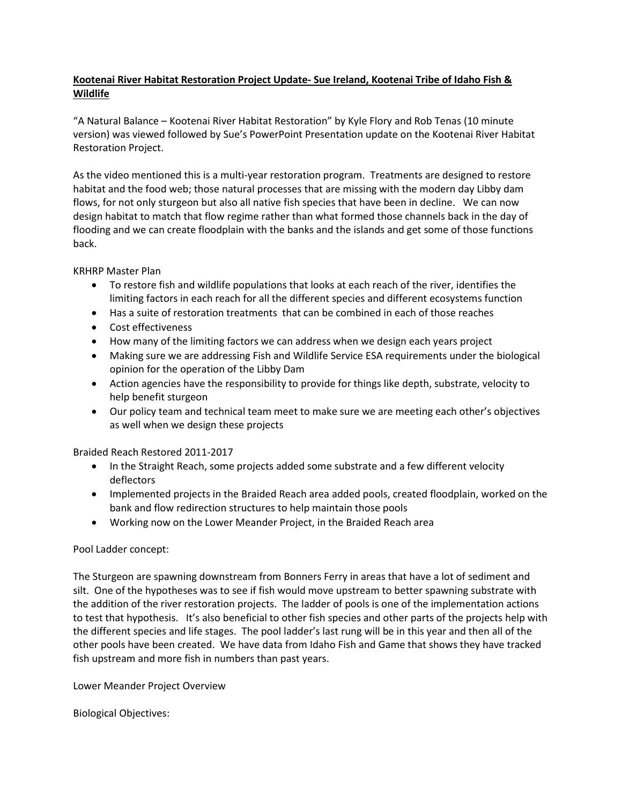## **Kootenai River Habitat Restoration Project Update- Sue Ireland, Kootenai Tribe of Idaho Fish & Wildlife**

"A Natural Balance – Kootenai River Habitat Restoration" by Kyle Flory and Rob Tenas (10 minute version) was viewed followed by Sue's PowerPoint Presentation update on the Kootenai River Habitat Restoration Project.

As the video mentioned this is a multi-year restoration program. Treatments are designed to restore habitat and the food web; those natural processes that are missing with the modern day Libby dam flows, for not only sturgeon but also all native fish species that have been in decline. We can now design habitat to match that flow regime rather than what formed those channels back in the day of flooding and we can create floodplain with the banks and the islands and get some of those functions back.

KRHRP Master Plan

- To restore fish and wildlife populations that looks at each reach of the river, identifies the limiting factors in each reach for all the different species and different ecosystems function
- Has a suite of restoration treatments that can be combined in each of those reaches
- Cost effectiveness
- How many of the limiting factors we can address when we design each years project
- Making sure we are addressing Fish and Wildlife Service ESA requirements under the biological opinion for the operation of the Libby Dam
- Action agencies have the responsibility to provide for things like depth, substrate, velocity to help benefit sturgeon
- Our policy team and technical team meet to make sure we are meeting each other's objectives as well when we design these projects

Braided Reach Restored 2011-2017

- In the Straight Reach, some projects added some substrate and a few different velocity deflectors
- Implemented projects in the Braided Reach area added pools, created floodplain, worked on the bank and flow redirection structures to help maintain those pools
- Working now on the Lower Meander Project, in the Braided Reach area

### Pool Ladder concept:

The Sturgeon are spawning downstream from Bonners Ferry in areas that have a lot of sediment and silt. One of the hypotheses was to see if fish would move upstream to better spawning substrate with the addition of the river restoration projects. The ladder of pools is one of the implementation actions to test that hypothesis. It's also beneficial to other fish species and other parts of the projects help with the different species and life stages. The pool ladder's last rung will be in this year and then all of the other pools have been created. We have data from Idaho Fish and Game that shows they have tracked fish upstream and more fish in numbers than past years.

Lower Meander Project Overview

Biological Objectives: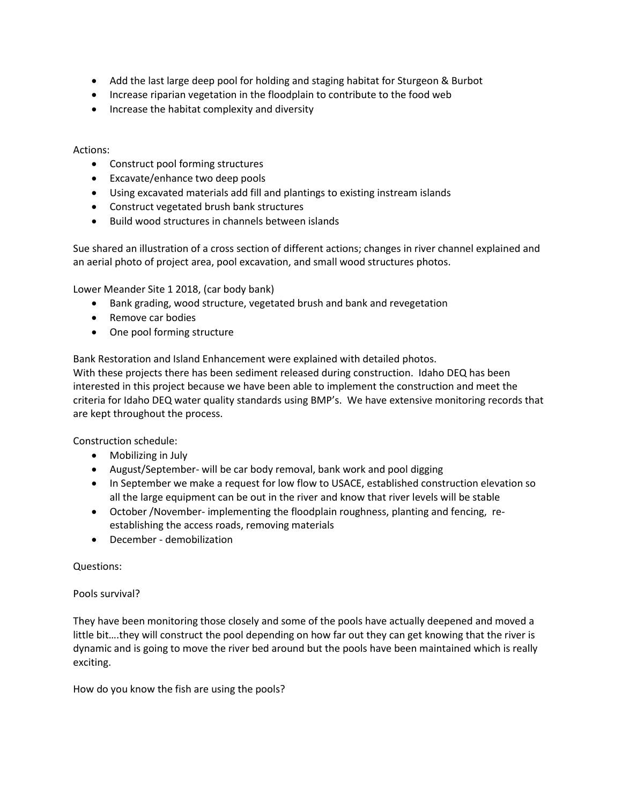- Add the last large deep pool for holding and staging habitat for Sturgeon & Burbot
- Increase riparian vegetation in the floodplain to contribute to the food web
- Increase the habitat complexity and diversity

### Actions:

- Construct pool forming structures
- Excavate/enhance two deep pools
- Using excavated materials add fill and plantings to existing instream islands
- Construct vegetated brush bank structures
- Build wood structures in channels between islands

Sue shared an illustration of a cross section of different actions; changes in river channel explained and an aerial photo of project area, pool excavation, and small wood structures photos.

Lower Meander Site 1 2018, (car body bank)

- Bank grading, wood structure, vegetated brush and bank and revegetation
- Remove car bodies
- One pool forming structure

Bank Restoration and Island Enhancement were explained with detailed photos.

With these projects there has been sediment released during construction. Idaho DEQ has been interested in this project because we have been able to implement the construction and meet the criteria for Idaho DEQ water quality standards using BMP's. We have extensive monitoring records that are kept throughout the process.

Construction schedule:

- Mobilizing in July
- August/September- will be car body removal, bank work and pool digging
- In September we make a request for low flow to USACE, established construction elevation so all the large equipment can be out in the river and know that river levels will be stable
- October /November- implementing the floodplain roughness, planting and fencing, reestablishing the access roads, removing materials
- December demobilization

Questions:

### Pools survival?

They have been monitoring those closely and some of the pools have actually deepened and moved a little bit….they will construct the pool depending on how far out they can get knowing that the river is dynamic and is going to move the river bed around but the pools have been maintained which is really exciting.

How do you know the fish are using the pools?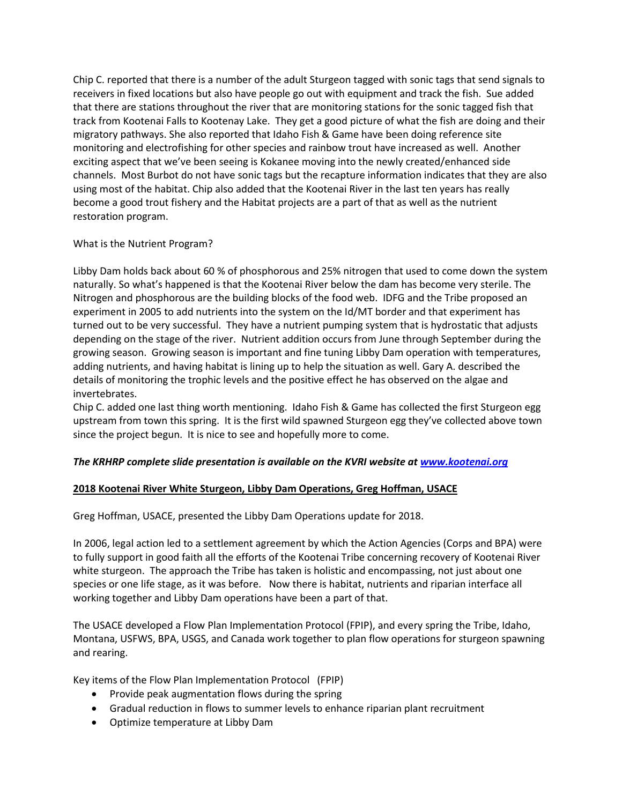Chip C. reported that there is a number of the adult Sturgeon tagged with sonic tags that send signals to receivers in fixed locations but also have people go out with equipment and track the fish. Sue added that there are stations throughout the river that are monitoring stations for the sonic tagged fish that track from Kootenai Falls to Kootenay Lake. They get a good picture of what the fish are doing and their migratory pathways. She also reported that Idaho Fish & Game have been doing reference site monitoring and electrofishing for other species and rainbow trout have increased as well. Another exciting aspect that we've been seeing is Kokanee moving into the newly created/enhanced side channels. Most Burbot do not have sonic tags but the recapture information indicates that they are also using most of the habitat. Chip also added that the Kootenai River in the last ten years has really become a good trout fishery and the Habitat projects are a part of that as well as the nutrient restoration program.

### What is the Nutrient Program?

Libby Dam holds back about 60 % of phosphorous and 25% nitrogen that used to come down the system naturally. So what's happened is that the Kootenai River below the dam has become very sterile. The Nitrogen and phosphorous are the building blocks of the food web. IDFG and the Tribe proposed an experiment in 2005 to add nutrients into the system on the Id/MT border and that experiment has turned out to be very successful. They have a nutrient pumping system that is hydrostatic that adjusts depending on the stage of the river. Nutrient addition occurs from June through September during the growing season. Growing season is important and fine tuning Libby Dam operation with temperatures, adding nutrients, and having habitat is lining up to help the situation as well. Gary A. described the details of monitoring the trophic levels and the positive effect he has observed on the algae and invertebrates.

Chip C. added one last thing worth mentioning. Idaho Fish & Game has collected the first Sturgeon egg upstream from town this spring. It is the first wild spawned Sturgeon egg they've collected above town since the project begun. It is nice to see and hopefully more to come.

## *The KRHRP complete slide presentation is available on the KVRI website at [www.kootenai.org](http://www.kootenai.org/)*

## **2018 Kootenai River White Sturgeon, Libby Dam Operations, Greg Hoffman, USACE**

Greg Hoffman, USACE, presented the Libby Dam Operations update for 2018.

In 2006, legal action led to a settlement agreement by which the Action Agencies (Corps and BPA) were to fully support in good faith all the efforts of the Kootenai Tribe concerning recovery of Kootenai River white sturgeon. The approach the Tribe has taken is holistic and encompassing, not just about one species or one life stage, as it was before. Now there is habitat, nutrients and riparian interface all working together and Libby Dam operations have been a part of that.

The USACE developed a Flow Plan Implementation Protocol (FPIP), and every spring the Tribe, Idaho, Montana, USFWS, BPA, USGS, and Canada work together to plan flow operations for sturgeon spawning and rearing.

Key items of the Flow Plan Implementation Protocol (FPIP)

- Provide peak augmentation flows during the spring
- Gradual reduction in flows to summer levels to enhance riparian plant recruitment
- Optimize temperature at Libby Dam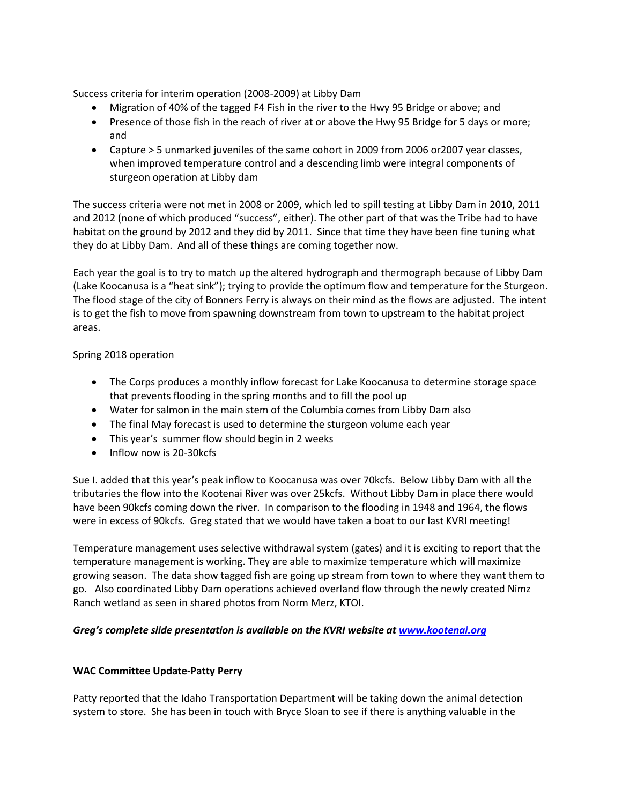Success criteria for interim operation (2008-2009) at Libby Dam

- Migration of 40% of the tagged F4 Fish in the river to the Hwy 95 Bridge or above; and
- Presence of those fish in the reach of river at or above the Hwy 95 Bridge for 5 days or more; and
- Capture > 5 unmarked juveniles of the same cohort in 2009 from 2006 or2007 year classes, when improved temperature control and a descending limb were integral components of sturgeon operation at Libby dam

The success criteria were not met in 2008 or 2009, which led to spill testing at Libby Dam in 2010, 2011 and 2012 (none of which produced "success", either). The other part of that was the Tribe had to have habitat on the ground by 2012 and they did by 2011. Since that time they have been fine tuning what they do at Libby Dam. And all of these things are coming together now.

Each year the goal is to try to match up the altered hydrograph and thermograph because of Libby Dam (Lake Koocanusa is a "heat sink"); trying to provide the optimum flow and temperature for the Sturgeon. The flood stage of the city of Bonners Ferry is always on their mind as the flows are adjusted. The intent is to get the fish to move from spawning downstream from town to upstream to the habitat project areas.

## Spring 2018 operation

- The Corps produces a monthly inflow forecast for Lake Koocanusa to determine storage space that prevents flooding in the spring months and to fill the pool up
- Water for salmon in the main stem of the Columbia comes from Libby Dam also
- The final May forecast is used to determine the sturgeon volume each year
- This year's summer flow should begin in 2 weeks
- Inflow now is 20-30 kcfs

Sue I. added that this year's peak inflow to Koocanusa was over 70kcfs. Below Libby Dam with all the tributaries the flow into the Kootenai River was over 25kcfs. Without Libby Dam in place there would have been 90kcfs coming down the river. In comparison to the flooding in 1948 and 1964, the flows were in excess of 90kcfs. Greg stated that we would have taken a boat to our last KVRI meeting!

Temperature management uses selective withdrawal system (gates) and it is exciting to report that the temperature management is working. They are able to maximize temperature which will maximize growing season. The data show tagged fish are going up stream from town to where they want them to go. Also coordinated Libby Dam operations achieved overland flow through the newly created Nimz Ranch wetland as seen in shared photos from Norm Merz, KTOI.

### *Greg's complete slide presentation is available on the KVRI website a[t www.kootenai.org](http://www.kootenai.org/)*

### **WAC Committee Update-Patty Perry**

Patty reported that the Idaho Transportation Department will be taking down the animal detection system to store. She has been in touch with Bryce Sloan to see if there is anything valuable in the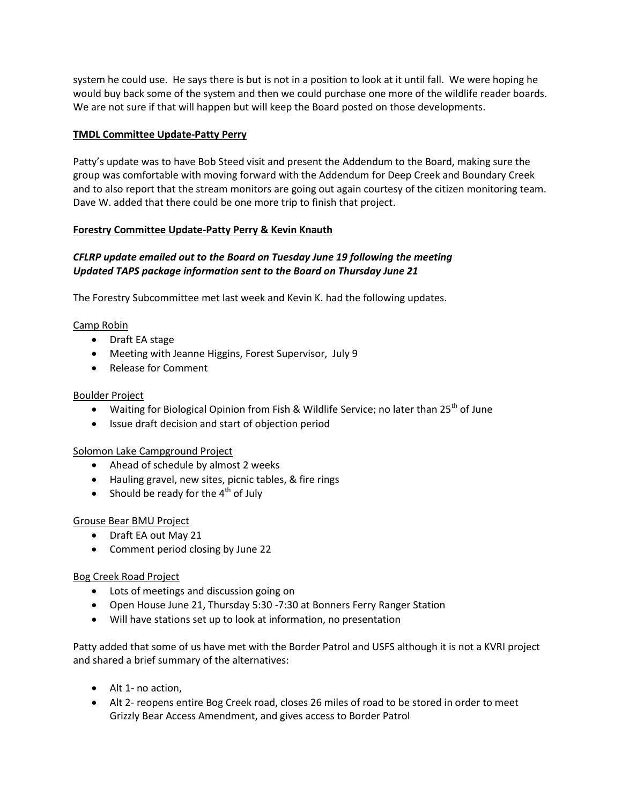system he could use. He says there is but is not in a position to look at it until fall. We were hoping he would buy back some of the system and then we could purchase one more of the wildlife reader boards. We are not sure if that will happen but will keep the Board posted on those developments.

### **TMDL Committee Update-Patty Perry**

Patty's update was to have Bob Steed visit and present the Addendum to the Board, making sure the group was comfortable with moving forward with the Addendum for Deep Creek and Boundary Creek and to also report that the stream monitors are going out again courtesy of the citizen monitoring team. Dave W. added that there could be one more trip to finish that project.

### **Forestry Committee Update-Patty Perry & Kevin Knauth**

# *CFLRP update emailed out to the Board on Tuesday June 19 following the meeting Updated TAPS package information sent to the Board on Thursday June 21*

The Forestry Subcommittee met last week and Kevin K. had the following updates.

### Camp Robin

- Draft EA stage
- Meeting with Jeanne Higgins, Forest Supervisor, July 9
- Release for Comment

### Boulder Project

- Waiting for Biological Opinion from Fish & Wildlife Service; no later than 25<sup>th</sup> of June
- Issue draft decision and start of objection period

## Solomon Lake Campground Project

- Ahead of schedule by almost 2 weeks
- Hauling gravel, new sites, picnic tables, & fire rings
- Should be ready for the  $4<sup>th</sup>$  of July

### Grouse Bear BMU Project

- Draft EA out May 21
- Comment period closing by June 22

### Bog Creek Road Project

- Lots of meetings and discussion going on
- Open House June 21, Thursday 5:30 -7:30 at Bonners Ferry Ranger Station
- Will have stations set up to look at information, no presentation

Patty added that some of us have met with the Border Patrol and USFS although it is not a KVRI project and shared a brief summary of the alternatives:

- Alt 1- no action,
- Alt 2- reopens entire Bog Creek road, closes 26 miles of road to be stored in order to meet Grizzly Bear Access Amendment, and gives access to Border Patrol